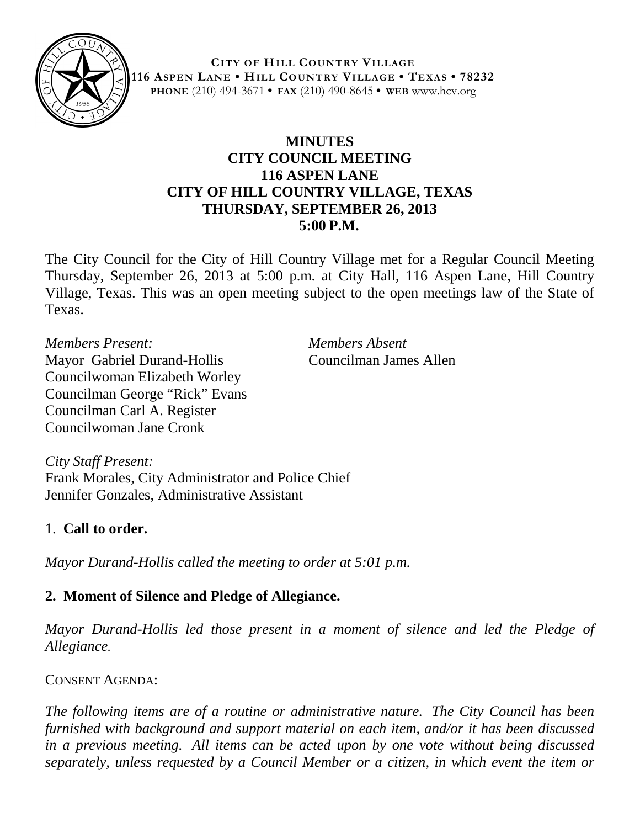

**CITY OF HILL COUNTRY VILLAGE 116 ASPEN LANE • HILL COUNTRY VILLAGE • TEXAS • 78232 PHONE** (210) 494-3671 **• FAX** (210) 490-8645 **• WEB** www.hcv.org

# **MINUTES CITY COUNCIL MEETING 116 ASPEN LANE CITY OF HILL COUNTRY VILLAGE, TEXAS THURSDAY, SEPTEMBER 26, 2013 5:00 P.M.**

The City Council for the City of Hill Country Village met for a Regular Council Meeting Thursday, September 26, 2013 at 5:00 p.m. at City Hall, 116 Aspen Lane, Hill Country Village, Texas. This was an open meeting subject to the open meetings law of the State of Texas.

*Members Present: Members Absent* Mayor Gabriel Durand-Hollis Councilman James Allen Councilwoman Elizabeth Worley Councilman George "Rick" Evans Councilman Carl A. Register Councilwoman Jane Cronk

*City Staff Present:* Frank Morales, City Administrator and Police Chief Jennifer Gonzales, Administrative Assistant

### 1. **Call to order.**

*Mayor Durand-Hollis called the meeting to order at 5:01 p.m.*

# **2. Moment of Silence and Pledge of Allegiance.**

*Mayor Durand-Hollis led those present in a moment of silence and led the Pledge of Allegiance.*

### CONSENT AGENDA:

*The following items are of a routine or administrative nature. The City Council has been furnished with background and support material on each item, and/or it has been discussed in a previous meeting. All items can be acted upon by one vote without being discussed separately, unless requested by a Council Member or a citizen, in which event the item or*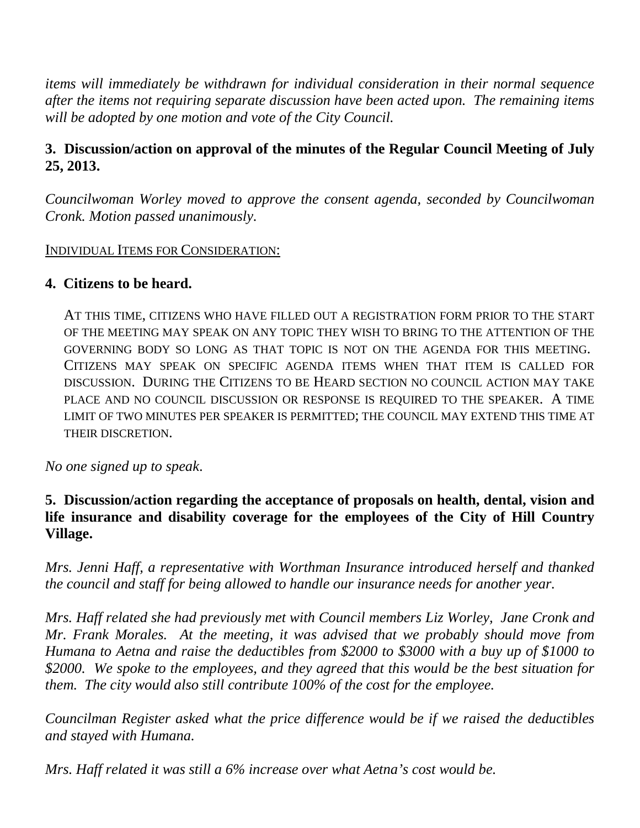*items will immediately be withdrawn for individual consideration in their normal sequence after the items not requiring separate discussion have been acted upon. The remaining items will be adopted by one motion and vote of the City Council.*

# **3. Discussion/action on approval of the minutes of the Regular Council Meeting of July 25, 2013.**

*Councilwoman Worley moved to approve the consent agenda, seconded by Councilwoman Cronk. Motion passed unanimously.*

#### INDIVIDUAL ITEMS FOR CONSIDERATION:

#### **4. Citizens to be heard.**

AT THIS TIME, CITIZENS WHO HAVE FILLED OUT A REGISTRATION FORM PRIOR TO THE START OF THE MEETING MAY SPEAK ON ANY TOPIC THEY WISH TO BRING TO THE ATTENTION OF THE GOVERNING BODY SO LONG AS THAT TOPIC IS NOT ON THE AGENDA FOR THIS MEETING. CITIZENS MAY SPEAK ON SPECIFIC AGENDA ITEMS WHEN THAT ITEM IS CALLED FOR DISCUSSION. DURING THE CITIZENS TO BE HEARD SECTION NO COUNCIL ACTION MAY TAKE PLACE AND NO COUNCIL DISCUSSION OR RESPONSE IS REQUIRED TO THE SPEAKER. A TIME LIMIT OF TWO MINUTES PER SPEAKER IS PERMITTED; THE COUNCIL MAY EXTEND THIS TIME AT THEIR DISCRETION.

*No one signed up to speak*.

### **5. Discussion/action regarding the acceptance of proposals on health, dental, vision and life insurance and disability coverage for the employees of the City of Hill Country Village.**

*Mrs. Jenni Haff, a representative with Worthman Insurance introduced herself and thanked the council and staff for being allowed to handle our insurance needs for another year.* 

*Mrs. Haff related she had previously met with Council members Liz Worley, Jane Cronk and Mr. Frank Morales. At the meeting, it was advised that we probably should move from Humana to Aetna and raise the deductibles from \$2000 to \$3000 with a buy up of \$1000 to \$2000. We spoke to the employees, and they agreed that this would be the best situation for them. The city would also still contribute 100% of the cost for the employee.*

*Councilman Register asked what the price difference would be if we raised the deductibles and stayed with Humana.*

*Mrs. Haff related it was still a 6% increase over what Aetna's cost would be.*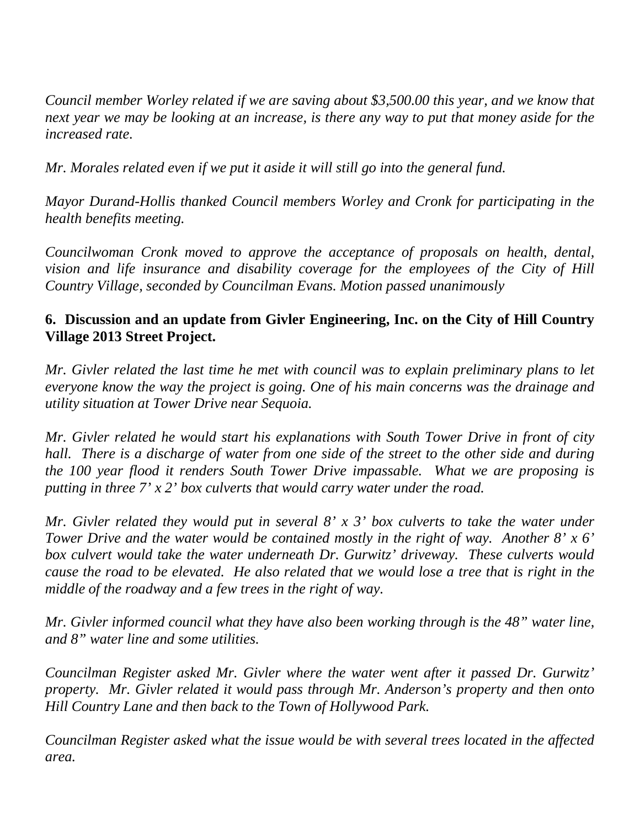*Council member Worley related if we are saving about \$3,500.00 this year, and we know that next year we may be looking at an increase, is there any way to put that money aside for the increased rate.*

*Mr. Morales related even if we put it aside it will still go into the general fund.*

*Mayor Durand-Hollis thanked Council members Worley and Cronk for participating in the health benefits meeting.*

*Councilwoman Cronk moved to approve the acceptance of proposals on health, dental, vision and life insurance and disability coverage for the employees of the City of Hill Country Village, seconded by Councilman Evans. Motion passed unanimously*

### **6. Discussion and an update from Givler Engineering, Inc. on the City of Hill Country Village 2013 Street Project.**

*Mr. Givler related the last time he met with council was to explain preliminary plans to let everyone know the way the project is going. One of his main concerns was the drainage and utility situation at Tower Drive near Sequoia.*

*Mr. Givler related he would start his explanations with South Tower Drive in front of city hall. There is a discharge of water from one side of the street to the other side and during the 100 year flood it renders South Tower Drive impassable. What we are proposing is putting in three 7' x 2' box culverts that would carry water under the road.*

*Mr. Givler related they would put in several 8' x 3' box culverts to take the water under Tower Drive and the water would be contained mostly in the right of way. Another 8' x 6' box culvert would take the water underneath Dr. Gurwitz' driveway. These culverts would cause the road to be elevated. He also related that we would lose a tree that is right in the middle of the roadway and a few trees in the right of way.* 

*Mr. Givler informed council what they have also been working through is the 48" water line, and 8" water line and some utilities.*

*Councilman Register asked Mr. Givler where the water went after it passed Dr. Gurwitz' property. Mr. Givler related it would pass through Mr. Anderson's property and then onto Hill Country Lane and then back to the Town of Hollywood Park.*

*Councilman Register asked what the issue would be with several trees located in the affected area.*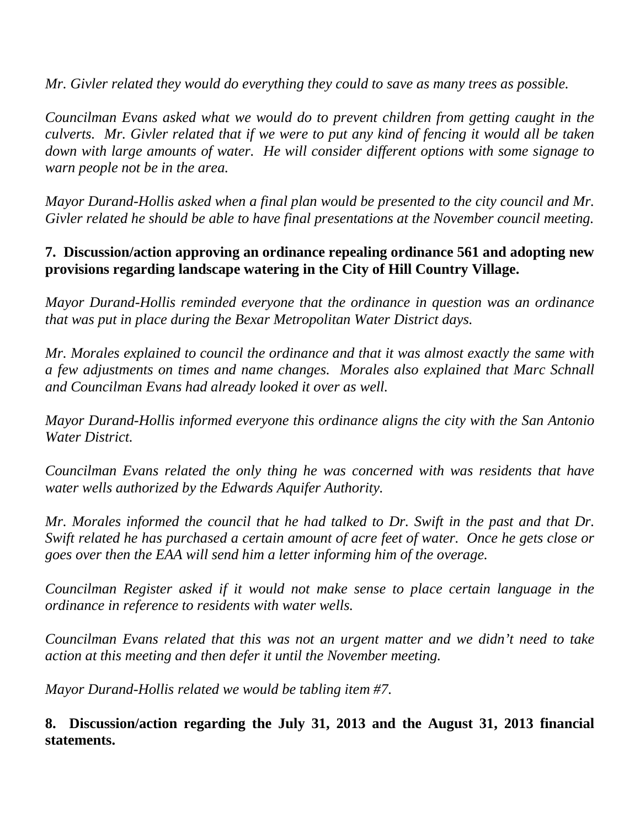*Mr. Givler related they would do everything they could to save as many trees as possible.*

*Councilman Evans asked what we would do to prevent children from getting caught in the culverts. Mr. Givler related that if we were to put any kind of fencing it would all be taken down with large amounts of water. He will consider different options with some signage to warn people not be in the area.*

*Mayor Durand-Hollis asked when a final plan would be presented to the city council and Mr. Givler related he should be able to have final presentations at the November council meeting.*

# **7. Discussion/action approving an ordinance repealing ordinance 561 and adopting new provisions regarding landscape watering in the City of Hill Country Village.**

*Mayor Durand-Hollis reminded everyone that the ordinance in question was an ordinance that was put in place during the Bexar Metropolitan Water District days.*

*Mr. Morales explained to council the ordinance and that it was almost exactly the same with a few adjustments on times and name changes. Morales also explained that Marc Schnall and Councilman Evans had already looked it over as well.*

*Mayor Durand-Hollis informed everyone this ordinance aligns the city with the San Antonio Water District.*

*Councilman Evans related the only thing he was concerned with was residents that have water wells authorized by the Edwards Aquifer Authority.*

*Mr. Morales informed the council that he had talked to Dr. Swift in the past and that Dr. Swift related he has purchased a certain amount of acre feet of water. Once he gets close or goes over then the EAA will send him a letter informing him of the overage.*

*Councilman Register asked if it would not make sense to place certain language in the ordinance in reference to residents with water wells.*

*Councilman Evans related that this was not an urgent matter and we didn't need to take action at this meeting and then defer it until the November meeting.*

*Mayor Durand-Hollis related we would be tabling item #7.*

**8. Discussion/action regarding the July 31, 2013 and the August 31, 2013 financial statements.**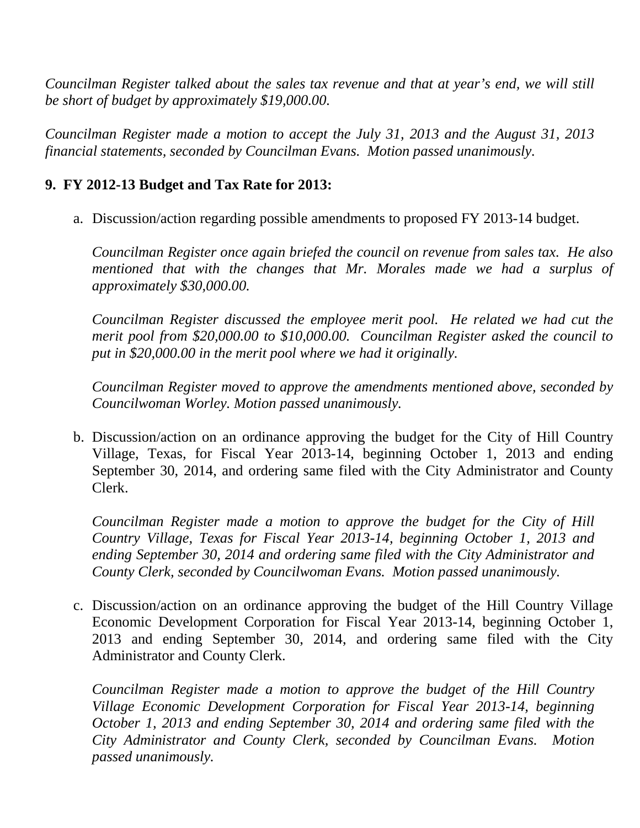*Councilman Register talked about the sales tax revenue and that at year's end, we will still be short of budget by approximately \$19,000.00.*

*Councilman Register made a motion to accept the July 31, 2013 and the August 31, 2013 financial statements, seconded by Councilman Evans. Motion passed unanimously.*

#### **9. FY 2012-13 Budget and Tax Rate for 2013:**

a. Discussion/action regarding possible amendments to proposed FY 2013-14 budget.

*Councilman Register once again briefed the council on revenue from sales tax. He also mentioned that with the changes that Mr. Morales made we had a surplus of approximately \$30,000.00.*

*Councilman Register discussed the employee merit pool. He related we had cut the merit pool from \$20,000.00 to \$10,000.00. Councilman Register asked the council to put in \$20,000.00 in the merit pool where we had it originally.* 

*Councilman Register moved to approve the amendments mentioned above, seconded by Councilwoman Worley. Motion passed unanimously.*

b. Discussion/action on an ordinance approving the budget for the City of Hill Country Village, Texas, for Fiscal Year 2013-14, beginning October 1, 2013 and ending September 30, 2014, and ordering same filed with the City Administrator and County Clerk.

*Councilman Register made a motion to approve the budget for the City of Hill Country Village, Texas for Fiscal Year 2013-14, beginning October 1, 2013 and ending September 30, 2014 and ordering same filed with the City Administrator and County Clerk, seconded by Councilwoman Evans. Motion passed unanimously.*

c. Discussion/action on an ordinance approving the budget of the Hill Country Village Economic Development Corporation for Fiscal Year 2013-14, beginning October 1, 2013 and ending September 30, 2014, and ordering same filed with the City Administrator and County Clerk.

*Councilman Register made a motion to approve the budget of the Hill Country Village Economic Development Corporation for Fiscal Year 2013-14, beginning October 1, 2013 and ending September 30, 2014 and ordering same filed with the City Administrator and County Clerk, seconded by Councilman Evans. Motion passed unanimously.*